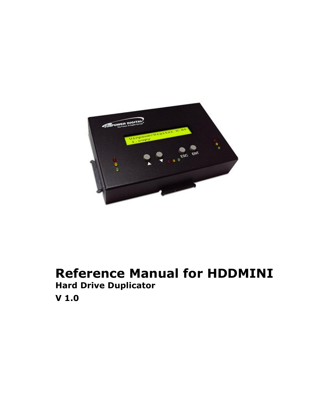

# **Reference Manual for HDDMINI Hard Drive Duplicator V 1.0**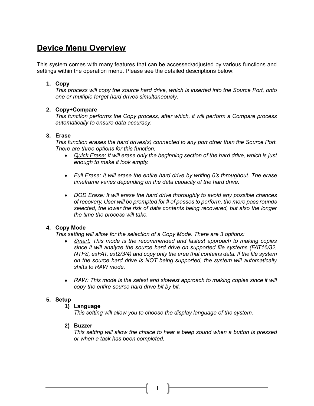# **Device Menu Overview**

This system comes with many features that can be accessed/adjusted by various functions and settings within the operation menu. Please see the detailed descriptions below:

# **1. Copy**

*This process will copy the source hard drive, which is inserted into the Source Port, onto one or multiple target hard drives simultaneously.*

# **2. Copy+Compare**

*This function performs the Copy process, after which, it will perform a Compare process automatically to ensure data accuracy.*

# **3. Erase**

*This function erases the hard drives(s) connected to any port other than the Source Port. There are three options for this function:*

- *Quick Erase: It will erase only the beginning section of the hard drive, which is just enough to make it look empty.*
- *Full Erase: It will erase the entire hard drive by writing 0's throughout. The erase timeframe varies depending on the data capacity of the hard drive.*
- *DOD Erase: It will erase the hard drive thoroughly to avoid any possible chances of recovery. User will be prompted for # of passes to perform, the more pass rounds selected, the lower the risk of data contents being recovered, but also the longer the time the process will take.*

# **4. Copy Mode**

*This setting will allow for the selection of a Copy Mode. There are 3 options:*

- *Smart: This mode is the recommended and fastest approach to making copies since it will analyze the source hard drive on supported file systems (FAT16/32, NTFS, exFAT, ext2/3/4) and copy only the area that contains data. If the file system on the source hard drive is NOT being supported, the system will automatically shifts to RAW mode.*
- RAW: This mode is the safest and slowest approach to making copies since it will *copy the entire source hard drive bit by bit.*

# **5. Setup**

# **1) Language**

*This setting will allow you to choose the display language of the system.*

# **2) Buzzer**

*This setting will allow the choice to hear a beep sound when a button is pressed or when a task has been completed.*

1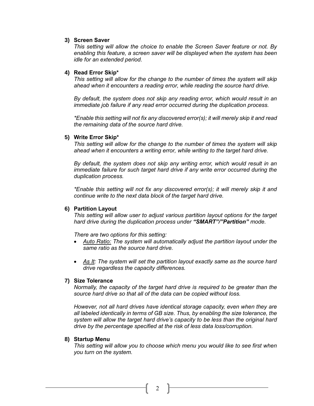#### **3) Screen Saver**

*This setting will allow the choice to enable the Screen Saver feature or not. By enabling this feature, a screen saver will be displayed when the system has been idle for an extended period.*

#### **4) Read Error Skip\***

*This setting will allow for the change to the number of times the system will skip ahead when it encounters a reading error, while reading the source hard drive.* 

*By default, the system does not skip any reading error, which would result in an immediate job failure if any read error occurred during the duplication process.*

*\*Enable this setting will not fix any discovered error(s); it will merely skip it and read the remaining data of the source hard drive.*

#### **5) Write Error Skip\***

*This setting will allow for the change to the number of times the system will skip ahead when it encounters a writing error, while writing to the target hard drive.* 

*By default, the system does not skip any writing error, which would result in an immediate failure for such target hard drive if any write error occurred during the duplication process.*

*\*Enable this setting will not fix any discovered error(s); it will merely skip it and continue write to the next data block of the target hard drive.*

#### **6) Partition Layout**

*This setting will allow user to adjust various partition layout options for the target hard drive during the duplication process under "SMART"/"Partition" mode.*

*There are two options for this setting:*

- *Auto Ratio: The system will automatically adjust the partition layout under the same ratio as the source hard drive.*
- As It: The system will set the partition layout exactly same as the source hard *drive regardless the capacity differences.*

#### **7) Size Tolerance**

*Normally, the capacity of the target hard drive is required to be greater than the source hard drive so that all of the data can be copied without loss.* 

*However, not all hard drives have identical storage capacity, even when they are all labeled identically in terms of GB size. Thus, by enabling the size tolerance, the system will allow the target hard drive's capacity to be less than the original hard drive by the percentage specified at the risk of less data loss/corruption.*

#### **8) Startup Menu**

*This setting will allow you to choose which menu you would like to see first when you turn on the system.*

2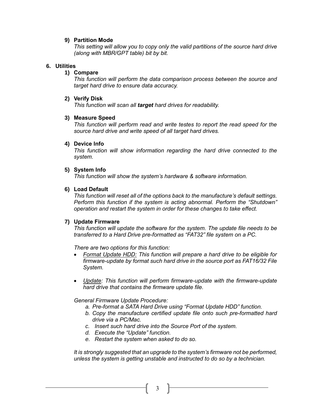#### **9) Partition Mode**

*This setting will allow you to copy only the valid partitions of the source hard drive (along with MBR/GPT table) bit by bit.*

#### **6. Utilities**

#### **1) Compare**

*This function will perform the data comparison process between the source and target hard drive to ensure data accuracy.*

#### **2) Verify Disk**

*This function will scan all target hard drives for readability.*

#### **3) Measure Speed**

*This function will perform read and write testes to report the read speed for the source hard drive and write speed of all target hard drives.*

#### **4) Device Info**

*This function will show information regarding the hard drive connected to the system.*

#### **5) System Info**

*This function will show the system's hardware & software information.*

#### **6) Load Default**

*This function will reset all of the options back to the manufacture's default settings. Perform this function if the system is acting abnormal. Perform the "Shutdown" operation and restart the system in order for these changes to take effect.* 

# **7) Update Firmware**

*This function will update the software for the system. The update file needs to be transferred to a Hard Drive pre-formatted as "FAT32" file system on a PC.*

*There are two options for this function:*

- *Format Update HDD: This function will prepare a hard drive to be eligible for firmware-update by format such hard drive in the source port as FAT16/32 File System.*
- *Update: This function will perform firmware-update with the firmware-update hard drive that contains the firmware update file.*

*General Firmware Update Procedure:*

- *a. Pre-format a SATA Hard Drive using "Format Update HDD" function.*
- *b. Copy the manufacture certified update file onto such pre-formatted hard drive via a PC/Mac.*
- *c. Insert such hard drive into the Source Port of the system.*
- *d. Execute the "Update" function.*
- *e. Restart the system when asked to do so.*

*It is strongly suggested that an upgrade to the system's firmware not be performed, unless the system is getting unstable and instructed to do so by a technician.*

3